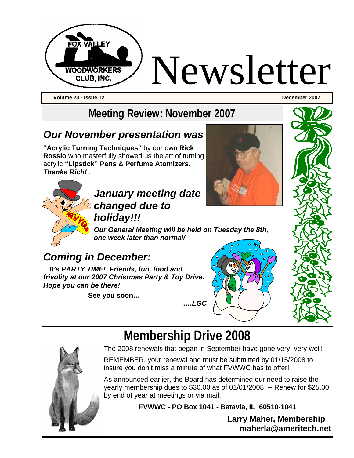

**Volume 23 - Issue 12 December 2007** 

# **Meeting Review: November 2007**

### *Our November presentation was*

**"Acrylic Turning Techniques"** by our own **Rick Rossio** who masterfully showed us the art of turning acrylic **"Lipstick" Pens & Perfume Atomizers.**  *Thanks Rich!* .





### *January meeting date changed due to holiday!!!*

*Our General Meeting will be held on Tuesday the 8th, one week later than normal/* 

### *Coming in December:*

*It's PARTY TIME! Friends, fun, food and frivolity at our 2007 Christmas Party & Toy Drive. Hope you can be there!* 

**See you soon…** 





# **Membership Drive 2008**



The 2008 renewals that began in September have gone very, very well!

REMEMBER, your renewal and must be submitted by 01/15/2008 to insure you don't miss a minute of what FVWWC has to offer!

As announced earlier, the Board has determined our need to raise the yearly membership dues to \$30.00 as of 01/01/2008 -- Renew for \$25.00 by end of year at meetings or via mail:

**FVWWC - PO Box 1041 - Batavia, IL 60510-1041** 

**Larry Maher, Membership maherla@ameritech.net**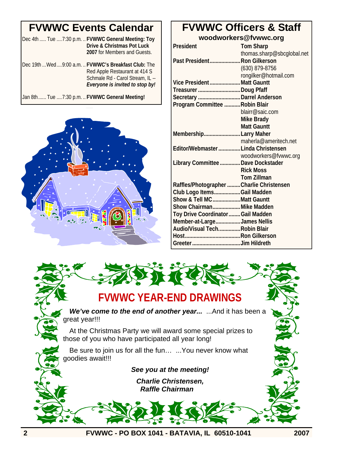### **FVWWC Events Calendar**

|  |  | Dec 4th  Tue  7:30 p.m.  FVWWC General Meeting: Toy |
|--|--|-----------------------------------------------------|
|  |  | Drive & Christmas Pot Luck                          |
|  |  | 2007 for Members and Guests.                        |

Dec 19th ...Wed....9:00 a.m. .. **FVWWC's Breakfast Club:** The Red Apple Restaurant at 414 S Schmale Rd - Carol Stream, IL -- *Everyone is invited to stop by!*

Jan 8th...... Tue ....7:30 p.m. .. **FVWWC General Meeting!**



#### **FVWWC Officers & Staff woodworkers@fvwwc.org**

| President                                 | <b>Tom Sharp</b>           |
|-------------------------------------------|----------------------------|
|                                           | thomas.sharp@sbcglobal.net |
| Past President Ron Gilkerson              |                            |
|                                           | $(630)$ 879-8756           |
|                                           | rongilker@hotmail.com      |
| Vice PresidentMatt Gauntt                 |                            |
| Treasurer Doug Pfaff                      |                            |
| Secretary  Darrel Anderson                |                            |
| Program Committee  Robin Blair            |                            |
|                                           | blairr@saic.com            |
|                                           | Mike Brady                 |
|                                           | <b>Matt Gauntt</b>         |
| MembershipLarry Maher                     |                            |
|                                           | maherla@ameritech.net      |
| Editor/Webmaster  Linda Christensen       |                            |
|                                           | woodworkers@fvwwc.org      |
| Library Committee  Dave Dockstader        |                            |
|                                           | <b>Rick Moss</b>           |
|                                           | <b>Tom Zillman</b>         |
| Raffles/Photographer  Charlie Christensen |                            |
| Club Logo ItemsGail Madden                |                            |
| Show & Tell MCMatt Gauntt                 |                            |
| Show Chairman Mike Madden                 |                            |
| Toy Drive Coordinator  Gail Madden        |                            |
| Member-at-LargeJames Nellis               |                            |
| Audio/Visual TechRobin Blair              |                            |
|                                           |                            |
|                                           |                            |



**2 FVWWC - PO BOX 1041 - BATAVIA, IL 60510-1041 2007**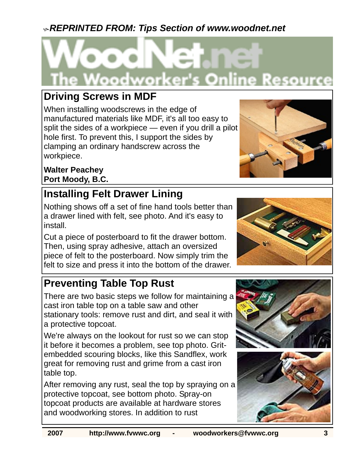### <sup>K</sup>*REPRINTED FROM: Tips Section of www.woodnet.net*



### **Driving Screws in MDF**

When installing woodscrews in the edge of manufactured materials like MDF, it's all too easy to split the sides of a workpiece — even if you drill a pilot hole first. To prevent this, I support the sides by clamping an ordinary handscrew across the workpiece.

**Walter Peachey Port Moody, B.C.** 

### **Installing Felt Drawer Lining**

Nothing shows off a set of fine hand tools better than a drawer lined with felt, see photo. And it's easy to install.

Cut a piece of posterboard to fit the drawer bottom. Then, using spray adhesive, attach an oversized piece of felt to the posterboard. Now simply trim the felt to size and press it into the bottom of the drawer.

## **Preventing Table Top Rust**

There are two basic steps we follow for maintaining a cast iron table top on a table saw and other stationary tools: remove rust and dirt, and seal it with a protective topcoat.

We're always on the lookout for rust so we can stop it before it becomes a problem, see top photo. Gritembedded scouring blocks, like this Sandflex, work great for removing rust and grime from a cast iron table top.

After removing any rust, seal the top by spraying on a protective topcoat, see bottom photo. Spray-on topcoat products are available at hardware stores and woodworking stores. In addition to rust